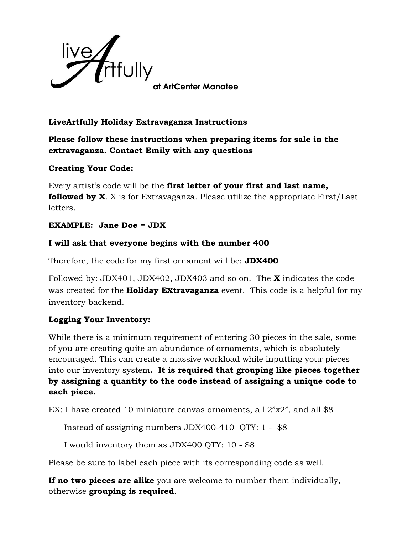

# **LiveArtfully Holiday Extravaganza Instructions**

**Please follow these instructions when preparing items for sale in the extravaganza. Contact Emily with any questions**

## **Creating Your Code:**

Every artist's code will be the **first letter of your first and last name, followed by X.** X is for Extravaganza. Please utilize the appropriate First/Last letters.

#### **EXAMPLE: Jane Doe = JDX**

## **I will ask that everyone begins with the number 400**

Therefore, the code for my first ornament will be: **JDX400**

Followed by: JDX401, JDX402, JDX403 and so on. The **X** indicates the code was created for the **Holiday Extravaganza** event. This code is a helpful for my inventory backend.

# **Logging Your Inventory:**

While there is a minimum requirement of entering 30 pieces in the sale, some of you are creating quite an abundance of ornaments, which is absolutely encouraged. This can create a massive workload while inputting your pieces into our inventory system**. It is required that grouping like pieces together by assigning a quantity to the code instead of assigning a unique code to each piece.** 

EX: I have created 10 miniature canvas ornaments, all 2"x2", and all \$8

Instead of assigning numbers JDX400-410 QTY: 1 - \$8

I would inventory them as JDX400 QTY: 10 - \$8

Please be sure to label each piece with its corresponding code as well.

**If no two pieces are alike** you are welcome to number them individually, otherwise **grouping is required**.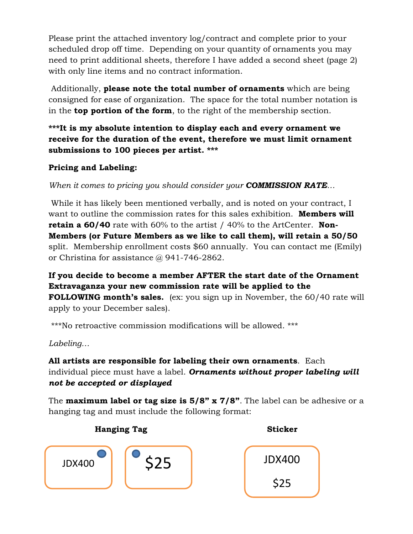Please print the attached inventory log/contract and complete prior to your scheduled drop off time. Depending on your quantity of ornaments you may need to print additional sheets, therefore I have added a second sheet (page 2) with only line items and no contract information.

Additionally, **please note the total number of ornaments** which are being consigned for ease of organization. The space for the total number notation is in the **top portion of the form**, to the right of the membership section.

**\*\*\*It is my absolute intention to display each and every ornament we receive for the duration of the event, therefore we must limit ornament submissions to 100 pieces per artist. \*\*\*** 

# **Pricing and Labeling:**

*When it comes to pricing you should consider your COMMISSION RATE…*

While it has likely been mentioned verbally, and is noted on your contract, I want to outline the commission rates for this sales exhibition. **Members will retain a 60/40** rate with 60% to the artist / 40% to the ArtCenter. **Non-Members (or Future Members as we like to call them), will retain a 50/50** split. Membership enrollment costs \$60 annually. You can contact me (Emily) or Christina for assistance @ 941-746-2862.

**If you decide to become a member AFTER the start date of the Ornament Extravaganza your new commission rate will be applied to the FOLLOWING month's sales.** (ex: you sign up in November, the 60/40 rate will apply to your December sales).

\*\*\*No retroactive commission modifications will be allowed. \*\*\*

*Labeling…*

**All artists are responsible for labeling their own ornaments**. Each individual piece must have a label. *Ornaments without proper labeling will not be accepted or displayed*

The **maximum label or tag size is 5/8" x 7/8"**. The label can be adhesive or a hanging tag and must include the following format:

**Hanging Tag Sticker**



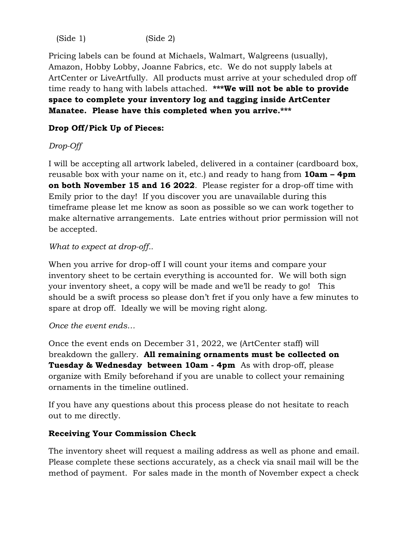(Side 1) (Side 2)

Pricing labels can be found at Michaels, Walmart, Walgreens (usually), Amazon, Hobby Lobby, Joanne Fabrics, etc. We do not supply labels at ArtCenter or LiveArtfully. All products must arrive at your scheduled drop off time ready to hang with labels attached. **\*\*\*We will not be able to provide space to complete your inventory log and tagging inside ArtCenter Manatee. Please have this completed when you arrive.\*\*\***

# **Drop Off/Pick Up of Pieces:**

# *Drop-Off*

I will be accepting all artwork labeled, delivered in a container (cardboard box, reusable box with your name on it, etc.) and ready to hang from **10am – 4pm on both November 15 and 16 2022**. Please register for a drop-off time with Emily prior to the day! If you discover you are unavailable during this timeframe please let me know as soon as possible so we can work together to make alternative arrangements. Late entries without prior permission will not be accepted.

#### *What to expect at drop-off..*

When you arrive for drop-off I will count your items and compare your inventory sheet to be certain everything is accounted for. We will both sign your inventory sheet, a copy will be made and we'll be ready to go! This should be a swift process so please don't fret if you only have a few minutes to spare at drop off. Ideally we will be moving right along.

#### *Once the event ends…*

Once the event ends on December 31, 2022, we (ArtCenter staff) will breakdown the gallery. **All remaining ornaments must be collected on Tuesday & Wednesday between 10am - 4pm** As with drop-off, please organize with Emily beforehand if you are unable to collect your remaining ornaments in the timeline outlined.

If you have any questions about this process please do not hesitate to reach out to me directly.

#### **Receiving Your Commission Check**

The inventory sheet will request a mailing address as well as phone and email. Please complete these sections accurately, as a check via snail mail will be the method of payment. For sales made in the month of November expect a check